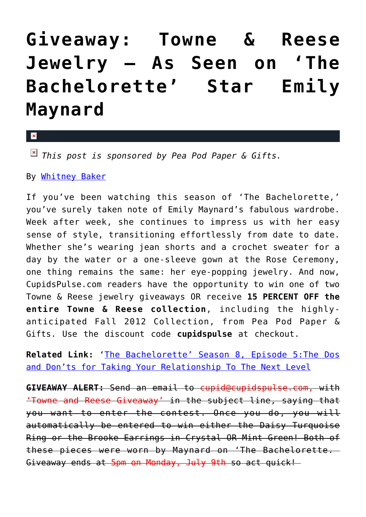## **[Giveaway: Towne & Reese](https://cupidspulse.com/33389/towne-reese-jewelry-giveaway-emily-maynard/) [Jewelry — As Seen on 'The](https://cupidspulse.com/33389/towne-reese-jewelry-giveaway-emily-maynard/) [Bachelorette' Star Emily](https://cupidspulse.com/33389/towne-reese-jewelry-giveaway-emily-maynard/) [Maynard](https://cupidspulse.com/33389/towne-reese-jewelry-giveaway-emily-maynard/)**

 $\mathbf{x}$ 

*This post is sponsored by Pea Pod Paper & Gifts.*

By [Whitney Baker](http://cupidspulse.com/about-cupidspulse/)

If you've been watching this season of 'The Bachelorette,' you've surely taken note of Emily Maynard's fabulous wardrobe. Week after week, she continues to impress us with her easy sense of style, transitioning effortlessly from date to date. Whether she's wearing jean shorts and a crochet sweater for a day by the water or a one-sleeve gown at the Rose Ceremony, one thing remains the same: her eye-popping jewelry. And now, CupidsPulse.com readers have the opportunity to win one of two Towne & Reese jewelry giveaways OR receive **15 PERCENT OFF the entire Towne & Reese collection**, including the highlyanticipated Fall 2012 Collection, from Pea Pod Paper & Gifts. Use the discount code **cupidspulse** at checkout.

**Related Link:** '[The Bachelorette' Season 8, Episode 5:The Dos](http://cupidspulse.com/bachelorette-8-emily-maynard-connection-relationships/) [and Don'ts for Taking Your Relationship To The Next Level](http://cupidspulse.com/bachelorette-8-emily-maynard-connection-relationships/)

**GIVEAWAY ALERT:** Send an email to cupid@cupidspulse.com, with 'Towne and Reese Giveaway' in the subject line, saying that you want to enter the contest. Once you do, you will automatically be entered to win either the Daisy Turquoise Ring or the Brooke Earrings in Crystal OR Mint Green! Both of these pieces were worn by Maynard on 'The Bachelorette. Giveaway ends at 5pm on Monday, July 9th so act quick!